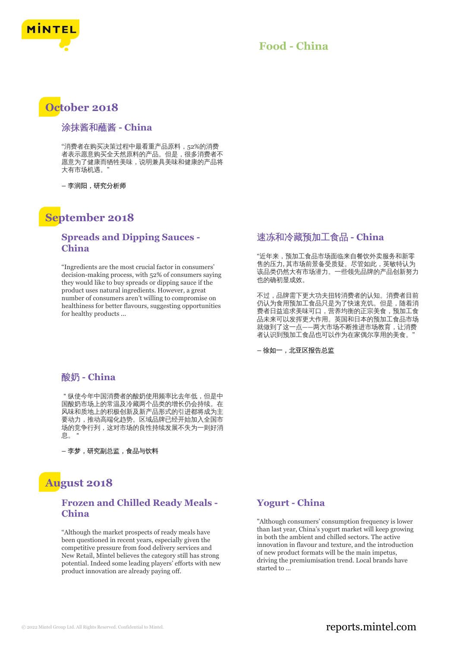

## **Food - China**

## **October 2018**

#### 涂抹酱和蘸酱 **- China**

"消费者在购买决策过程中最看重产品原料,52%的消费 者表示愿意购买全天然原料的产品。但是,很多消费者不 愿意为了健康而牺牲美味,说明兼具美味和健康的产品将 大有市场机遇。"

**–** 李润阳,研究分析师

# **September 2018**

#### **Spreads and Dipping Sauces - China**

"Ingredients are the most crucial factor in consumers' decision-making process, with 52% of consumers saying they would like to buy spreads or dipping sauce if the product uses natural ingredients. However, a great number of consumers aren't willing to compromise on healthiness for better flavours, suggesting opportunities for healthy products ...

## 酸奶 **- China**

"纵使今年中国消费者的酸奶使用频率比去年低,但是中 国酸奶市场上的常温及冷藏两个品类的增长仍会持续。在 风味和质地上的积极创新及新产品形式的引进都将成为主 要动力,推动高端化趋势。区域品牌已经开始加入全国市 场的竞争行列,这对市场的良性持续发展不失为一则好消 息。"

**–** 李梦,研究副总监,食品与饮料

# **August 2018**

## **Frozen and Chilled Ready Meals - China**

"Although the market prospects of ready meals have been questioned in recent years, especially given the competitive pressure from food delivery services and New Retail, Mintel believes the category still has strong potential. Indeed some leading players' efforts with new product innovation are already paying off.

#### 速冻和冷藏预加工食品 **- China**

"近年来,预加工食品市场面临来自餐饮外卖服务和新零 售的压力, 其市场前景备受质疑。尽管如此,英敏特认为 该品类仍然大有市场潜力。一些领先品牌的产品创新努力 也的确初显成效。

不过,品牌需下更大功夫扭转消费者的认知。消费者目前 仍认为食用预加工食品只是为了快速充饥。但是,随着消 费者日益追求美味可口,营养均衡的正宗美食,预加工食 品未来可以发挥更大作用。英国和日本的预加工食品市场 就做到了这一点——两大市场不断推进市场教育,让消费 者认识到预加工食品也可以作为在家偶尔享用的美食。"

**–** 徐如一,北亚区报告总监

#### **Yogurt - China**

"Although consumers' consumption frequency is lower than last year, China's yogurt market will keep growing in both the ambient and chilled sectors. The active innovation in flavour and texture, and the introduction of new product formats will be the main impetus, driving the premiumisation trend. Local brands have started to ...

## © 2022 Mintel Group Ltd. All Rights Reserved. Confidential to Mintel.  $\blacksquare$  reports.mintel.com